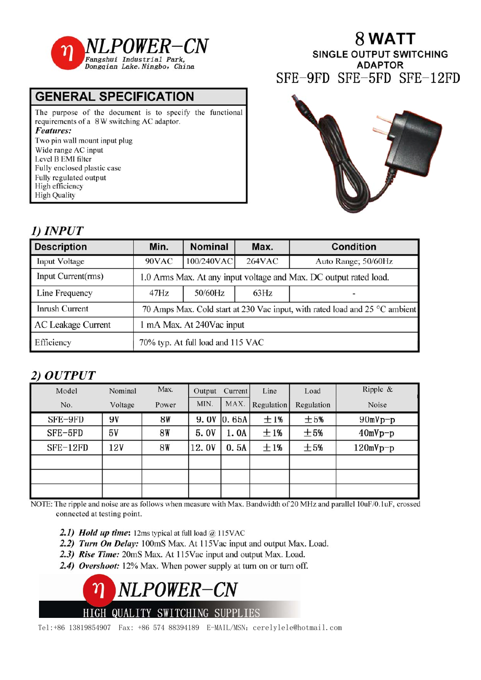

## **GENERAL SPECIFICATION**

The purpose of the document is to specify the functional requirements of a 8W switching AC adaptor. Features: Two pin wall mount input plug Wide range AC input Level B EMI filter Fully enclosed plastic case Fully regulated output High efficiency **High Quality** 

# 8 WATT

**SINGLE OUTPUT SWITCHING ADAPTOR** SFE-9FD SFE-5FD SFE-12FD



## 1) **INPUT**

| <b>Description</b>        | Min.                                                                        | <b>Nominal</b> | Max.   | <b>Condition</b>    |  |  |  |  |  |
|---------------------------|-----------------------------------------------------------------------------|----------------|--------|---------------------|--|--|--|--|--|
| Input Voltage             | 90VAC                                                                       | 100/240VAC     | 264VAC | Auto Range; 50/60Hz |  |  |  |  |  |
| Input Current(rms)        | 1.0 Arms Max. At any input voltage and Max. DC output rated load.           |                |        |                     |  |  |  |  |  |
| Line Frequency            | 47Hz                                                                        | 50/60Hz        | 63Hz   |                     |  |  |  |  |  |
| Inrush Current            | 70 Amps Max. Cold start at 230 Vac input, with rated load and 25 °C ambient |                |        |                     |  |  |  |  |  |
| <b>AC Leakage Current</b> | 1 mA Max. At 240Vac input                                                   |                |        |                     |  |  |  |  |  |
| Efficiency                | 70% typ. At full load and 115 VAC                                           |                |        |                     |  |  |  |  |  |

## 2) OUTPUT

| Model      | Nominal | Max.      | Output | Current | Line       | Load       | Ripple $\&$ |
|------------|---------|-----------|--------|---------|------------|------------|-------------|
| No.        | Voltage | Power     | MIN.   | MAX.    | Regulation | Regulation | Noise       |
| SFE-9FD    | 9V      | 8W        | 9.0V   | 0.65A   | ±1%        | ±5%        | $90mVp-p$   |
| SFE-5FD    | 5٧      | <b>8W</b> | 5.0V   | 1.0A    | ±1%        | ±5%        | $40mVp-p$   |
| $SFE-12FD$ | 12V     | <b>8W</b> | 12.0V  | 0.5A    | ±1%        | ±5%        | $120mVp-p$  |
|            |         |           |        |         |            |            |             |
|            |         |           |        |         |            |            |             |
|            |         |           |        |         |            |            |             |

NOTE: The ripple and noise are as follows when measure with Max. Bandwidth of 20 MHz and parallel 10uF/0.1uF, crossed connected at testing point.

- 2.1) Hold up time: 12ms typical at full load  $\omega$  115VAC
- 2.2) Turn On Delay: 100mS Max. At 115Vac input and output Max. Load.
- 2.3) Rise Time: 20mS Max. At 115Vac input and output Max. Load.
- 2.4) Overshoot: 12% Max. When power supply at turn on or turn off.



Tel:+86 13819854907 Fax: +86 574 88394189 E-MAIL/MSN: cerelylele@hotmail.com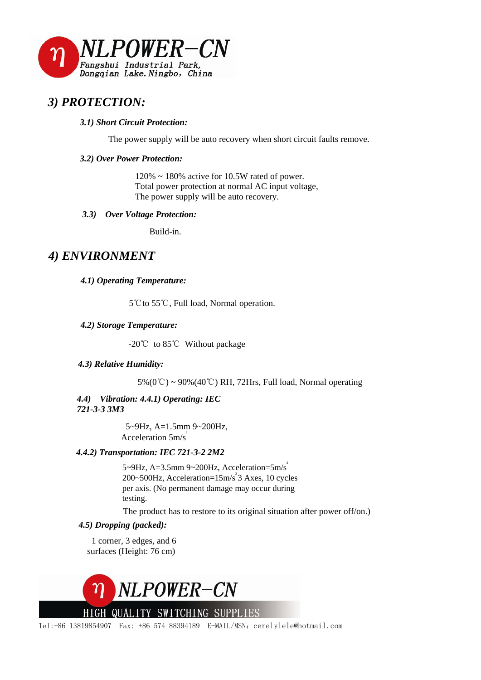

## *3) PROTECTION:*

#### *3.1) Short Circuit Protection:*

The power supply will be auto recovery when short circuit faults remove.

#### *3.2) Over Power Protection:*

 $120\% \sim 180\%$  active for 10.5W rated of power. Total power protection at normal AC input voltage, The power supply will be auto recovery.

#### *3.3) Over Voltage Protection:*

Build-in.

### *4) ENVIRONMENT*

#### *4.1) Operating Temperature:*

5℃to 55℃, Full load, Normal operation.

#### *4.2) Storage Temperature:*

-20℃ to 85℃ Without package

#### *4.3) Relative Humidity:*

 $5\%$  (0°C) ~ 90%(40°C) RH, 72Hrs, Full load, Normal operating

#### *4.4) Vibration: 4.4.1) Operating: IEC 721-3-3 3M3*

 5~9Hz, A=1.5mm 9~200Hz, Acceleration  $5m/s^2$ 

#### *4.4.2) Transportation: IEC 721-3-2 2M2*

5~9Hz, A=3.5mm 9~200Hz, Acceleration=5m/s<sup>2</sup>  $200 \times 500$ Hz, Acceleration= $15 \text{m/s}^2$  3 Axes, 10 cycles per axis. (No permanent damage may occur during testing.

The product has to restore to its original situation after power off/on.)

#### *4.5) Dropping (packed):*

 1 corner, 3 edges, and 6 surfaces (Height: 76 cm)